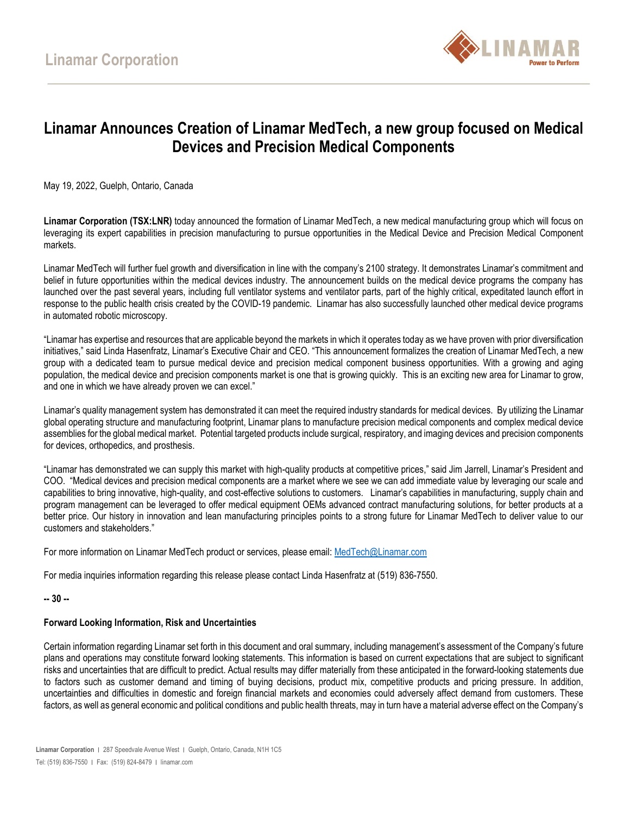

## **Linamar Announces Creation of Linamar MedTech, a new group focused on Medical Devices and Precision Medical Components**

May 19, 2022, Guelph, Ontario, Canada

**Linamar Corporation (TSX:LNR)** today announced the formation of Linamar MedTech, a new medical manufacturing group which will focus on leveraging its expert capabilities in precision manufacturing to pursue opportunities in the Medical Device and Precision Medical Component markets.

Linamar MedTech will further fuel growth and diversification in line with the company's 2100 strategy. It demonstrates Linamar's commitment and belief in future opportunities within the medical devices industry. The announcement builds on the medical device programs the company has launched over the past several years, including full ventilator systems and ventilator parts, part of the highly critical, expeditated launch effort in response to the public health crisis created by the COVID-19 pandemic. Linamar has also successfully launched other medical device programs in automated robotic microscopy.

"Linamar has expertise and resources that are applicable beyond the markets in which it operates today as we have proven with prior diversification initiatives," said Linda Hasenfratz, Linamar's Executive Chair and CEO. "This announcement formalizes the creation of Linamar MedTech, a new group with a dedicated team to pursue medical device and precision medical component business opportunities. With a growing and aging population, the medical device and precision components market is one that is growing quickly. This is an exciting new area for Linamar to grow, and one in which we have already proven we can excel."

Linamar's quality management system has demonstrated it can meet the required industry standards for medical devices. By utilizing the Linamar global operating structure and manufacturing footprint, Linamar plans to manufacture precision medical components and complex medical device assemblies for the global medical market. Potential targeted products include surgical, respiratory, and imaging devices and precision components for devices, orthopedics, and prosthesis.

"Linamar has demonstrated we can supply this market with high-quality products at competitive prices," said Jim Jarrell, Linamar's President and COO. "Medical devices and precision medical components are a market where we see we can add immediate value by leveraging our scale and capabilities to bring innovative, high-quality, and cost-effective solutions to customers. Linamar's capabilities in manufacturing, supply chain and program management can be leveraged to offer medical equipment OEMs advanced contract manufacturing solutions, for better products at a better price. Our history in innovation and lean manufacturing principles points to a strong future for Linamar MedTech to deliver value to our customers and stakeholders."

For more information on Linamar MedTech product or services, please email: [MedTech@Linamar.com](mailto:MedTech@Linamar.com)

For media inquiries information regarding this release please contact Linda Hasenfratz at (519) 836-7550.

**-- 30 --**

## **Forward Looking Information, Risk and Uncertainties**

Certain information regarding Linamar set forth in this document and oral summary, including management's assessment of the Company's future plans and operations may constitute forward looking statements. This information is based on current expectations that are subject to significant risks and uncertainties that are difficult to predict. Actual results may differ materially from these anticipated in the forward-looking statements due to factors such as customer demand and timing of buying decisions, product mix, competitive products and pricing pressure. In addition, uncertainties and difficulties in domestic and foreign financial markets and economies could adversely affect demand from customers. These factors, as well as general economic and political conditions and public health threats, may in turn have a material adverse effect on the Company's